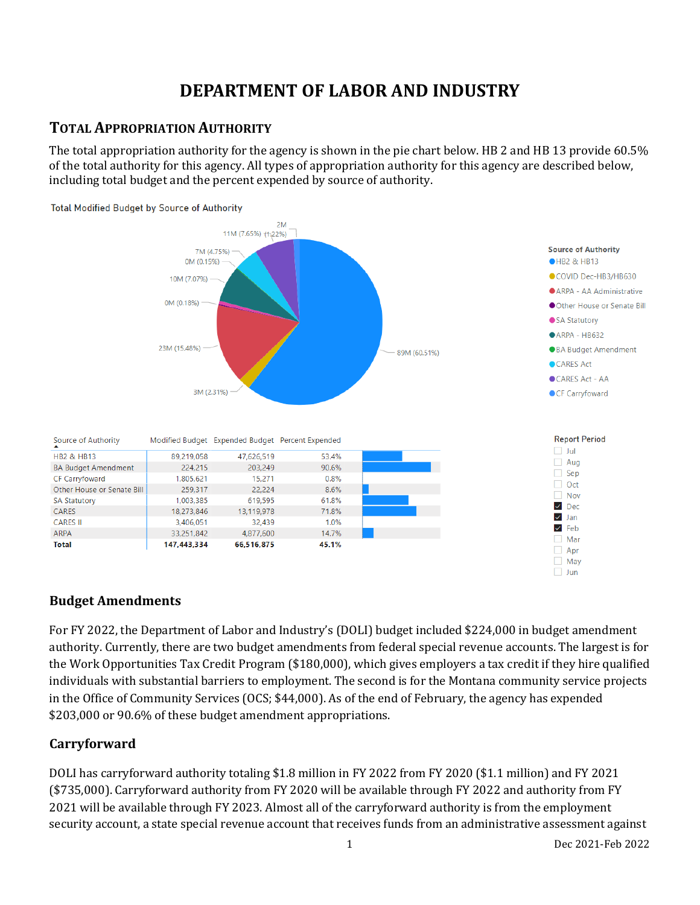# **DEPARTMENT OF LABOR AND INDUSTRY**

## **TOTAL APPROPRIATION AUTHORITY**

The total appropriation authority for the agency is shown in the pie chart below. HB 2 and HB 13 provide 60.5% of the total authority for this agency. All types of appropriation authority for this agency are described below, including total budget and the percent expended by source of authority.



#### Total Modified Budget by Source of Authority

#### **Budget Amendments**

For FY 2022, the Department of Labor and Industry's (DOLI) budget included \$224,000 in budget amendment authority. Currently, there are two budget amendments from federal special revenue accounts. The largest is for the Work Opportunities Tax Credit Program (\$180,000), which gives employers a tax credit if they hire qualified individuals with substantial barriers to employment. The second is for the Montana community service projects in the Office of Community Services (OCS; \$44,000). As of the end of February, the agency has expended \$203,000 or 90.6% of these budget amendment appropriations.

## **Carryforward**

DOLI has carryforward authority totaling \$1.8 million in FY 2022 from FY 2020 (\$1.1 million) and FY 2021 (\$735,000). Carryforward authority from FY 2020 will be available through FY 2022 and authority from FY 2021 will be available through FY 2023. Almost all of the carryforward authority is from the employment security account, a state special revenue account that receives funds from an administrative assessment against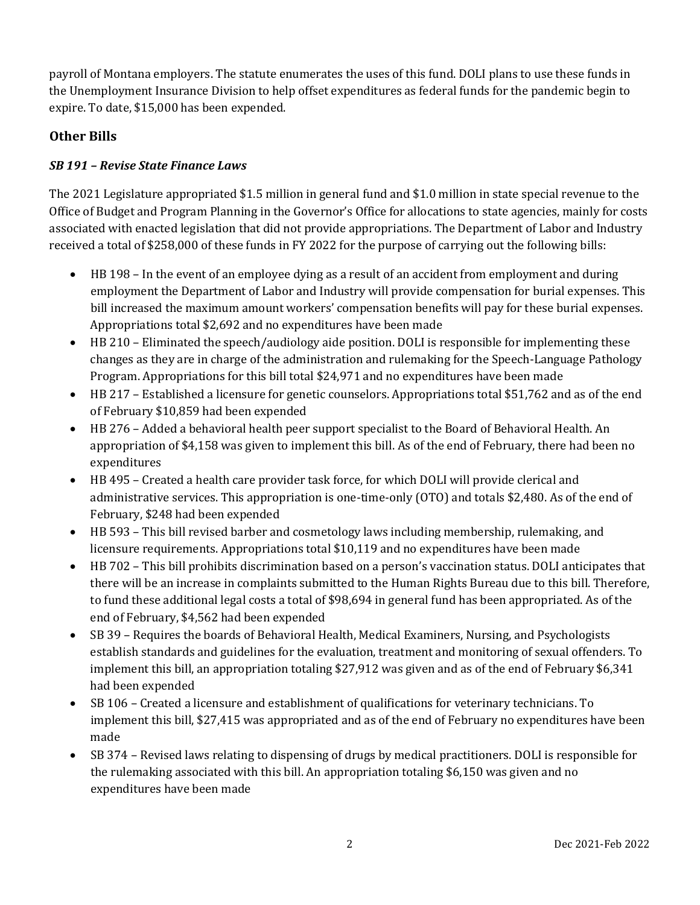payroll of Montana employers. The statute enumerates the uses of this fund. DOLI plans to use these funds in the Unemployment Insurance Division to help offset expenditures as federal funds for the pandemic begin to expire. To date, \$15,000 has been expended.

## **Other Bills**

### *SB 191 – Revise State Finance Laws*

The 2021 Legislature appropriated \$1.5 million in general fund and \$1.0 million in state special revenue to the Office of Budget and Program Planning in the Governor's Office for allocations to state agencies, mainly for costs associated with enacted legislation that did not provide appropriations. The Department of Labor and Industry received a total of \$258,000 of these funds in FY 2022 for the purpose of carrying out the following bills:

- HB 198 In the event of an employee dying as a result of an accident from employment and during employment the Department of Labor and Industry will provide compensation for burial expenses. This bill increased the maximum amount workers' compensation benefits will pay for these burial expenses. Appropriations total \$2,692 and no expenditures have been made
- HB 210 Eliminated the speech/audiology aide position. DOLI is responsible for implementing these changes as they are in charge of the administration and rulemaking for the Speech-Language Pathology Program. Appropriations for this bill total \$24,971 and no expenditures have been made
- HB 217 Established a licensure for genetic counselors. Appropriations total \$51,762 and as of the end of February \$10,859 had been expended
- HB 276 Added a behavioral health peer support specialist to the Board of Behavioral Health. An appropriation of \$4,158 was given to implement this bill. As of the end of February, there had been no expenditures
- HB 495 Created a health care provider task force, for which DOLI will provide clerical and administrative services. This appropriation is one-time-only (OTO) and totals \$2,480. As of the end of February, \$248 had been expended
- HB 593 This bill revised barber and cosmetology laws including membership, rulemaking, and licensure requirements. Appropriations total \$10,119 and no expenditures have been made
- HB 702 This bill prohibits discrimination based on a person's vaccination status. DOLI anticipates that there will be an increase in complaints submitted to the Human Rights Bureau due to this bill. Therefore, to fund these additional legal costs a total of \$98,694 in general fund has been appropriated. As of the end of February, \$4,562 had been expended
- SB 39 Requires the boards of Behavioral Health, Medical Examiners, Nursing, and Psychologists establish standards and guidelines for the evaluation, treatment and monitoring of sexual offenders. To implement this bill, an appropriation totaling \$27,912 was given and as of the end of February \$6,341 had been expended
- SB 106 Created a licensure and establishment of qualifications for veterinary technicians. To implement this bill, \$27,415 was appropriated and as of the end of February no expenditures have been made
- SB 374 Revised laws relating to dispensing of drugs by medical practitioners. DOLI is responsible for the rulemaking associated with this bill. An appropriation totaling \$6,150 was given and no expenditures have been made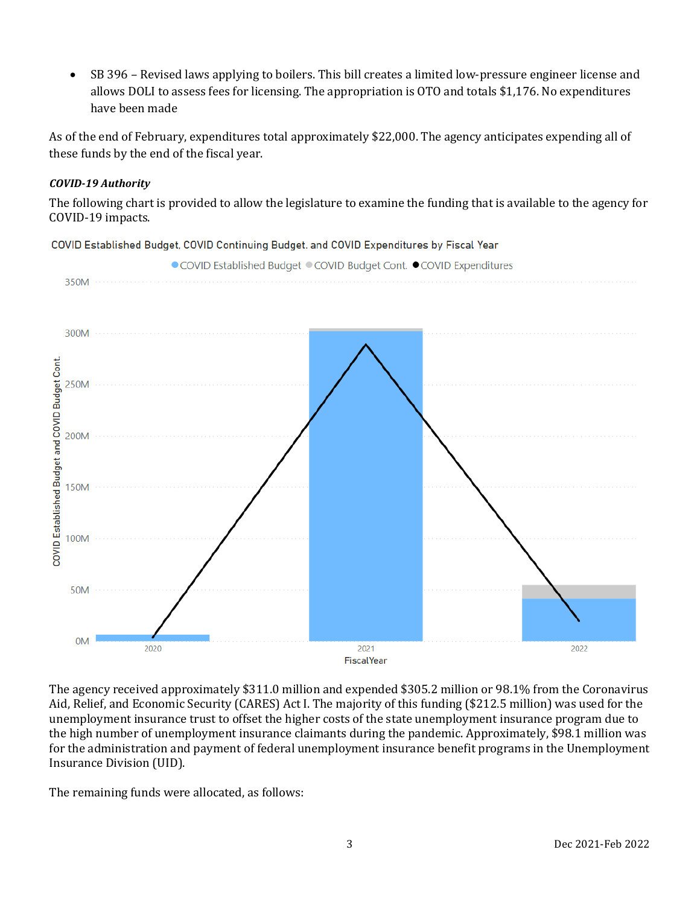• SB 396 – Revised laws applying to boilers. This bill creates a limited low-pressure engineer license and allows DOLI to assess fees for licensing. The appropriation is OTO and totals \$1,176. No expenditures have been made

As of the end of February, expenditures total approximately \$22,000. The agency anticipates expending all of these funds by the end of the fiscal year.

#### *COVID-19 Authority*

The following chart is provided to allow the legislature to examine the funding that is available to the agency for COVID-19 impacts.

COVID Established Budget, COVID Continuing Budget, and COVID Expenditures by Fiscal Year



The agency received approximately \$311.0 million and expended \$305.2 million or 98.1% from the Coronavirus Aid, Relief, and Economic Security (CARES) Act I. The majority of this funding (\$212.5 million) was used for the unemployment insurance trust to offset the higher costs of the state unemployment insurance program due to the high number of unemployment insurance claimants during the pandemic. Approximately, \$98.1 million was for the administration and payment of federal unemployment insurance benefit programs in the Unemployment Insurance Division (UID).

The remaining funds were allocated, as follows: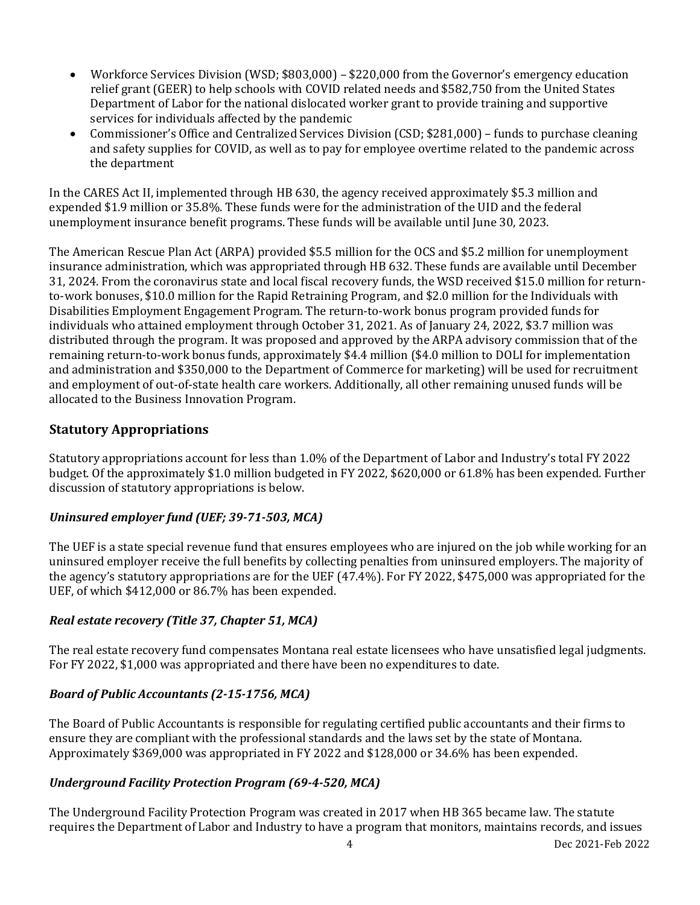- Workforce Services Division (WSD; \$803,000) \$220,000 from the Governor's emergency education relief grant (GEER) to help schools with COVID related needs and \$582,750 from the United States Department of Labor for the national dislocated worker grant to provide training and supportive services for individuals affected by the pandemic
- Commissioner's Office and Centralized Services Division (CSD; \$281,000) funds to purchase cleaning and safety supplies for COVID, as well as to pay for employee overtime related to the pandemic across the department

In the CARES Act II, implemented through HB 630, the agency received approximately \$5.3 million and expended \$1.9 million or 35.8%. These funds were for the administration of the UID and the federal unemployment insurance benefit programs. These funds will be available until June 30, 2023.

The American Rescue Plan Act (ARPA) provided \$5.5 million for the OCS and \$5.2 million for unemployment insurance administration, which was appropriated through HB 632. These funds are available until December 31, 2024. From the coronavirus state and local fiscal recovery funds, the WSD received \$15.0 million for returnto-work bonuses, \$10.0 million for the Rapid Retraining Program, and \$2.0 million for the Individuals with Disabilities Employment Engagement Program. The return-to-work bonus program provided funds for individuals who attained employment through October 31, 2021. As of January 24, 2022, \$3.7 million was distributed through the program. It was proposed and approved by the ARPA advisory commission that of the remaining return-to-work bonus funds, approximately \$4.4 million (\$4.0 million to DOLI for implementation and administration and \$350,000 to the Department of Commerce for marketing) will be used for recruitment and employment of out-of-state health care workers. Additionally, all other remaining unused funds will be allocated to the Business Innovation Program.

## **Statutory Appropriations**

Statutory appropriations account for less than 1.0% of the Department of Labor and Industry's total FY 2022 budget. Of the approximately \$1.0 million budgeted in FY 2022, \$620,000 or 61.8% has been expended. Further discussion of statutory appropriations is below.

## *Uninsured employer fund (UEF; 39-71-503, MCA)*

The UEF is a state special revenue fund that ensures employees who are injured on the job while working for an uninsured employer receive the full benefits by collecting penalties from uninsured employers. The majority of the agency's statutory appropriations are for the UEF (47.4%). For FY 2022, \$475,000 was appropriated for the UEF, of which \$412,000 or 86.7% has been expended.

## *Real estate recovery (Title 37, Chapter 51, MCA)*

The real estate recovery fund compensates Montana real estate licensees who have unsatisfied legal judgments. For FY 2022, \$1,000 was appropriated and there have been no expenditures to date.

## *Board of Public Accountants (2-15-1756, MCA)*

The Board of Public Accountants is responsible for regulating certified public accountants and their firms to ensure they are compliant with the professional standards and the laws set by the state of Montana. Approximately \$369,000 was appropriated in FY 2022 and \$128,000 or 34.6% has been expended.

## *Underground Facility Protection Program (69-4-520, MCA)*

The Underground Facility Protection Program was created in 2017 when HB 365 became law. The statute requires the Department of Labor and Industry to have a program that monitors, maintains records, and issues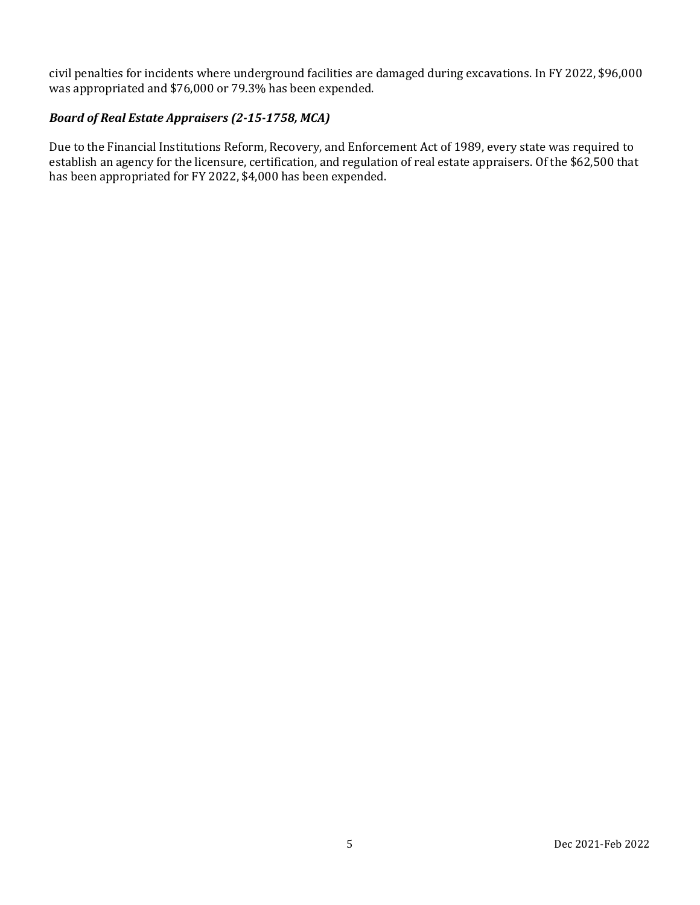civil penalties for incidents where underground facilities are damaged during excavations. In FY 2022, \$96,000 was appropriated and \$76,000 or 79.3% has been expended.

#### *Board of Real Estate Appraisers (2-15-1758, MCA)*

Due to the Financial Institutions Reform, Recovery, and Enforcement Act of 1989, every state was required to establish an agency for the licensure, certification, and regulation of real estate appraisers. Of the \$62,500 that has been appropriated for FY 2022, \$4,000 has been expended.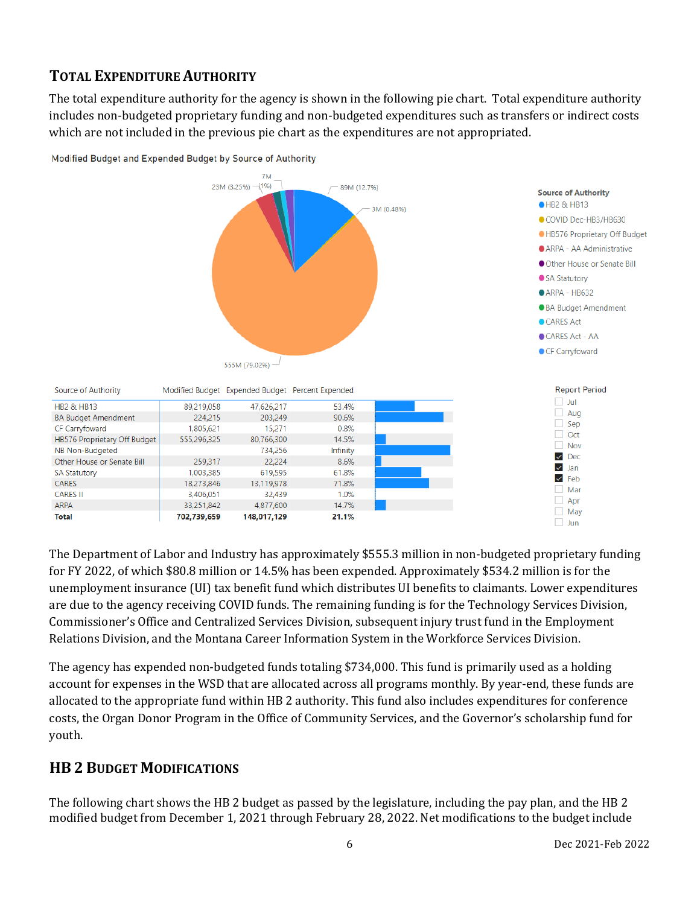## **TOTAL EXPENDITURE AUTHORITY**

The total expenditure authority for the agency is shown in the following pie chart. Total expenditure authority includes non-budgeted proprietary funding and non-budgeted expenditures such as transfers or indirect costs which are not included in the previous pie chart as the expenditures are not appropriated.



Modified Budget and Expended Budget by Source of Authority

The Department of Labor and Industry has approximately \$555.3 million in non-budgeted proprietary funding for FY 2022, of which \$80.8 million or 14.5% has been expended. Approximately \$534.2 million is for the unemployment insurance (UI) tax benefit fund which distributes UI benefits to claimants. Lower expenditures are due to the agency receiving COVID funds. The remaining funding is for the Technology Services Division, Commissioner's Office and Centralized Services Division, subsequent injury trust fund in the Employment Relations Division, and the Montana Career Information System in the Workforce Services Division.

The agency has expended non-budgeted funds totaling \$734,000. This fund is primarily used as a holding account for expenses in the WSD that are allocated across all programs monthly. By year-end, these funds are allocated to the appropriate fund within HB 2 authority. This fund also includes expenditures for conference costs, the Organ Donor Program in the Office of Community Services, and the Governor's scholarship fund for youth.

## **HB 2 BUDGET MODIFICATIONS**

HB2 & HB13

**SA Statutory** 

CARES

**ARPA** 

**Total** 

**CARES II** 

The following chart shows the HB 2 budget as passed by the legislature, including the pay plan, and the HB 2 modified budget from December 1, 2021 through February 28, 2022. Net modifications to the budget include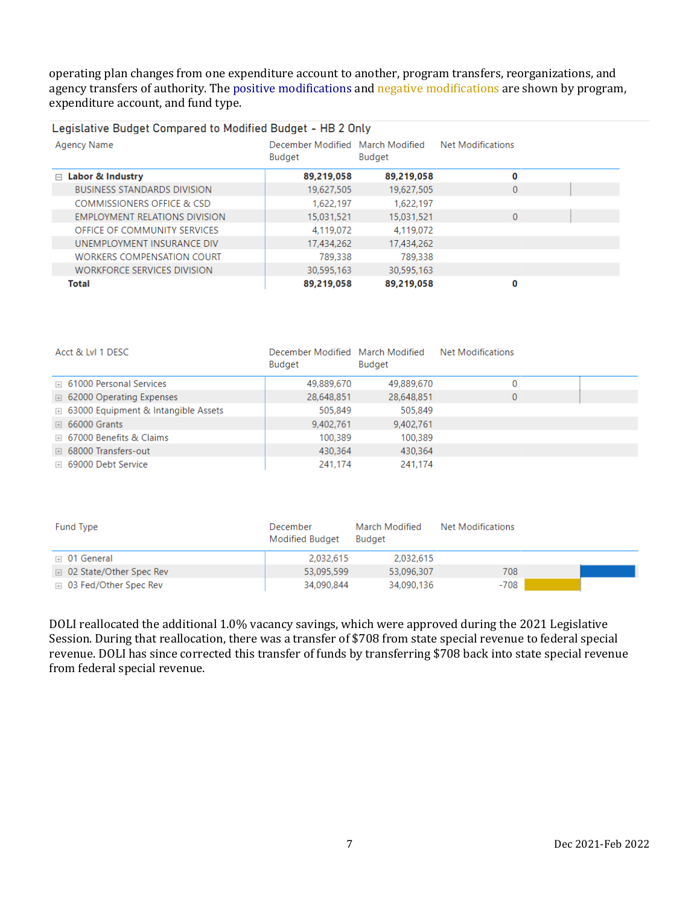operating plan changes from one expenditure account to another, program transfers, reorganizations, and agency transfers of authority. The positive modifications and negative modifications are shown by program, expenditure account, and fund type.

## Legislative Budget Compared to Modified Budget - HB 2 Only

| Agency Name                        | December Modified March Modified<br>Budget | Budget     | <b>Net Modifications</b> |  |
|------------------------------------|--------------------------------------------|------------|--------------------------|--|
| $\Box$ Labor & Industry            | 89,219,058                                 | 89,219,058 | 0                        |  |
| <b>BUSINESS STANDARDS DIVISION</b> | 19,627,505                                 | 19,627,505 | $\mathbf{0}$             |  |
| COMMISSIONERS OFFICE & CSD         | 1,622,197                                  | 1,622,197  |                          |  |
| EMPLOYMENT RELATIONS DIVISION      | 15.031.521                                 | 15,031,521 | $\mathbf{0}$             |  |
| OFFICE OF COMMUNITY SERVICES       | 4,119,072                                  | 4.119.072  |                          |  |
| UNEMPLOYMENT INSURANCE DIV         | 17,434,262                                 | 17,434,262 |                          |  |
| <b>WORKERS COMPENSATION COURT</b>  | 789,338                                    | 789,338    |                          |  |
| <b>WORKFORCE SERVICES DIVISION</b> | 30,595,163                                 | 30,595,163 |                          |  |
| Total                              | 89,219,058                                 | 89,219,058 | 0                        |  |

| Acct & LvI 1 DESC                            | December Modified March Modified<br><b>Budget</b> | Budget     | <b>Net Modifications</b> |  |
|----------------------------------------------|---------------------------------------------------|------------|--------------------------|--|
| □ 61000 Personal Services                    | 49,889,670                                        | 49,889,670 | D.                       |  |
| □ 62000 Operating Expenses                   | 28,648,851                                        | 28,648,851 | 0                        |  |
| <b>E</b> 63000 Equipment & Intangible Assets | 505,849                                           | 505,849    |                          |  |
| $\boxplus$ 66000 Grants                      | 9,402,761                                         | 9,402,761  |                          |  |
| □ 67000 Benefits & Claims                    | 100,389                                           | 100,389    |                          |  |
| □ 68000 Transfers-out                        | 430,364                                           | 430,364    |                          |  |
| ⊞ 69000 Debt Service                         | 241,174                                           | 241,174    |                          |  |

| Fund Type                 | December<br><b>Modified Budget</b> | March Modified<br><b>Budget</b> | Net Modifications |  |
|---------------------------|------------------------------------|---------------------------------|-------------------|--|
| $\boxplus$ 01 General     | 2.032.615                          | 2.032.615                       |                   |  |
| □ 02 State/Other Spec Rev | 53.095.599                         | 53,096,307                      | 708               |  |
| ⊞ 03 Fed/Other Spec Rev   | 34,090,844                         | 34,090,136                      | -708              |  |

DOLI reallocated the additional 1.0% vacancy savings, which were approved during the 2021 Legislative Session. During that reallocation, there was a transfer of \$708 from state special revenue to federal special revenue. DOLI has since corrected this transfer of funds by transferring \$708 back into state special revenue from federal special revenue.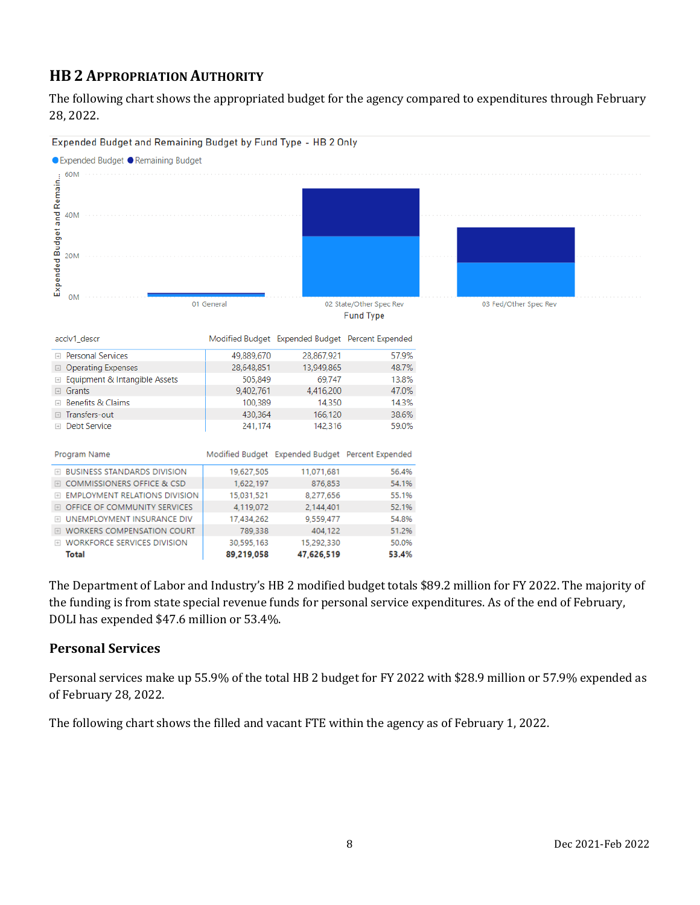## **HB 2 APPROPRIATION AUTHORITY**

The following chart shows the appropriated budget for the agency compared to expenditures through February 28, 2022.



The Department of Labor and Industry's HB 2 modified budget totals \$89.2 million for FY 2022. The majority of the funding is from state special revenue funds for personal service expenditures. As of the end of February, DOLI has expended \$47.6 million or 53.4%.

## **Personal Services**

Personal services make up 55.9% of the total HB 2 budget for FY 2022 with \$28.9 million or 57.9% expended as of February 28, 2022.

The following chart shows the filled and vacant FTE within the agency as of February 1, 2022.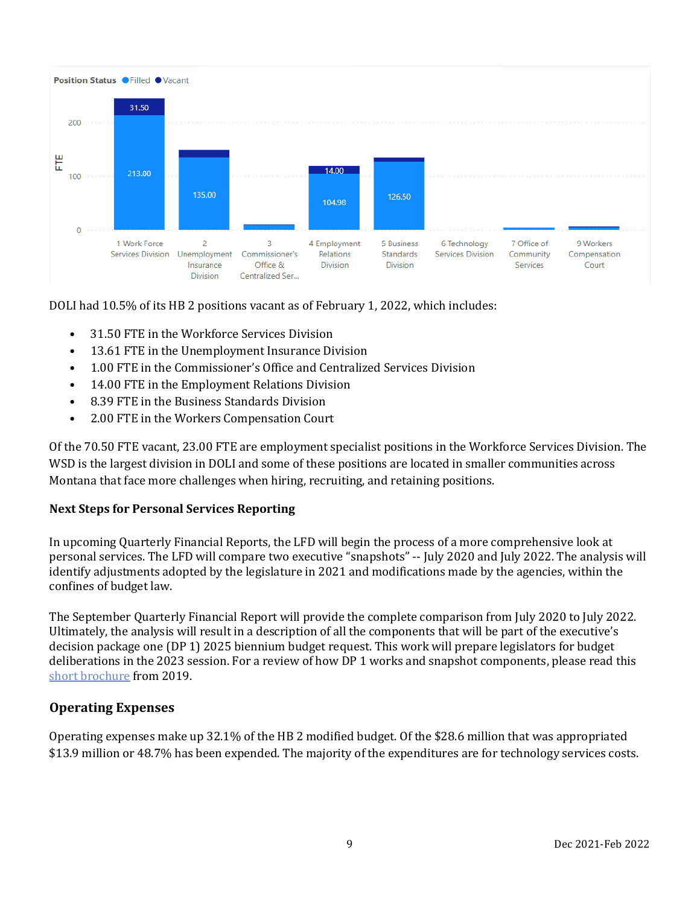

DOLI had 10.5% of its HB 2 positions vacant as of February 1, 2022, which includes:

- 31.50 FTE in the Workforce Services Division
- 13.61 FTE in the Unemployment Insurance Division
- 1.00 FTE in the Commissioner's Office and Centralized Services Division
- 14.00 FTE in the Employment Relations Division
- 8.39 FTE in the Business Standards Division
- 2.00 FTE in the Workers Compensation Court

Of the 70.50 FTE vacant, 23.00 FTE are employment specialist positions in the Workforce Services Division. The WSD is the largest division in DOLI and some of these positions are located in smaller communities across Montana that face more challenges when hiring, recruiting, and retaining positions.

#### **Next Steps for Personal Services Reporting**

In upcoming Quarterly Financial Reports, the LFD will begin the process of a more comprehensive look at personal services. The LFD will compare two executive "snapshots" -- July 2020 and July 2022. The analysis will identify adjustments adopted by the legislature in 2021 and modifications made by the agencies, within the confines of budget law.

The September Quarterly Financial Report will provide the complete comparison from July 2020 to July 2022. Ultimately, the analysis will result in a description of all the components that will be part of the executive's decision package one (DP 1) 2025 biennium budget request. This work will prepare legislators for budget deliberations in the 2023 session. For a review of how DP 1 works and snapshot components, please read this [short brochure](https://montana.maps.arcgis.com/apps/Cascade/index.html?appid=23095fcf15754f4fb38b63c58a884b97) from 2019.

#### **Operating Expenses**

Operating expenses make up 32.1% of the HB 2 modified budget. Of the \$28.6 million that was appropriated \$13.9 million or 48.7% has been expended. The majority of the expenditures are for technology services costs.